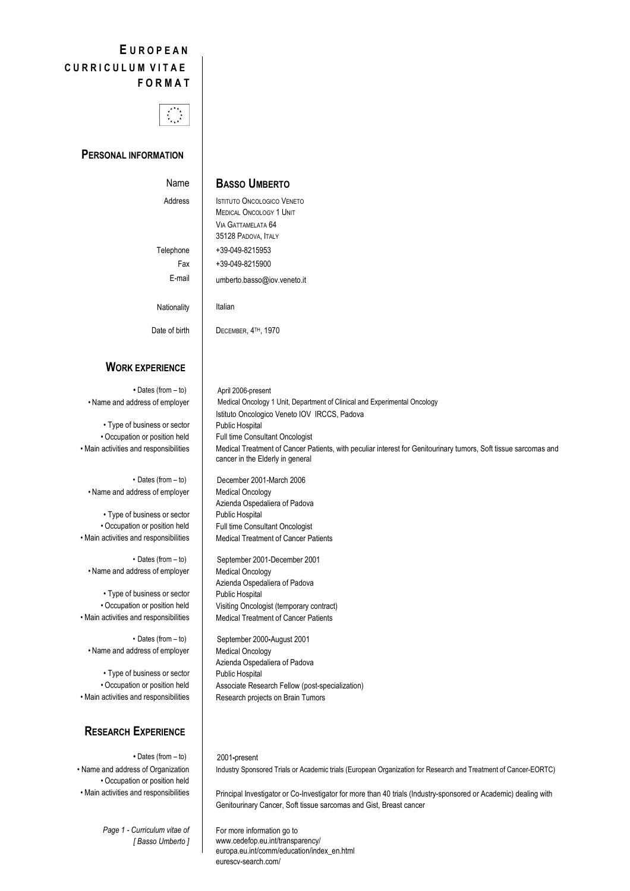# **E U R O P E A N C U R R I C U L U M V I T A E F O R M A T**



#### **PERSONAL INFORMATION**

#### **BASSO UMBERTO**

Address

Telephone Fax

Date of birth

Name

ISTITUTO ONCOLOGICO VENETO MEDICAL ONCOLOGY 1 UNIT VIA GATTAMELATA 64 35128 PADOVA, ITALY +39-049-8215953 +39-049-8215900 umberto.basso@iov.veneto.it Italian

E-mail Nationality

DECEMBER, 4TH, 1970

## **WORK EXPERIENCE**

**•** Dates (from – to) • Name and address of employer

• Type of business or sector • Occupation or position held • Main activities and responsibilities

• Dates (from – to) • Name and address of employer

• Type of business or sector • Occupation or position held • Main activities and responsibilities

• Dates (from – to) • Name and address of employer

• Type of business or sector • Occupation or position held • Main activities and responsibilities

• Dates (from – to) • Name and address of employer

• Type of business or sector • Occupation or position held • Main activities and responsibilities

# **RESEARCH EXPERIENCE**

**•** Dates (from – to) • Name and address of Organization • Occupation or position held • Main activities and responsibilities

> *Page 1 - Curriculum vitae of [ Basso Umberto ]*

April 2006-present Medical Oncology 1 Unit, Department of Clinical and Experimental Oncology Istituto Oncologico Veneto IOV IRCCS, Padova Public Hospital Full time Consultant Oncologist Medical Treatment of Cancer Patients, with peculiar interest for Genitourinary tumors, Soft tissue sarcomas and cancer in the Elderly in general

December 2001-March 2006 Medical Oncology Azienda Ospedaliera of Padova Public Hospital Full time Consultant Oncologist Medical Treatment of Cancer Patients

September 2001-December 2001 Medical Oncology Azienda Ospedaliera of Padova Public Hospital Visiting Oncologist (temporary contract) Medical Treatment of Cancer Patients

September 2000**-**August 2001 Medical Oncology Azienda Ospedaliera of Padova Public Hospital Associate Research Fellow (post-specialization) Research projects on Brain Tumors

2001**-**present

Industry Sponsored Trials or Academic trials (European Organization for Research and Treatment of Cancer-EORTC)

Principal Investigator or Co-Investigator for more than 40 trials (Industry-sponsored or Academic) dealing with Genitourinary Cancer, Soft tissue sarcomas and Gist, Breast cancer

For more information go to www.cedefop.eu.int/transparency/ europa.eu.int/comm/education/index\_en.html eurescv-search.com/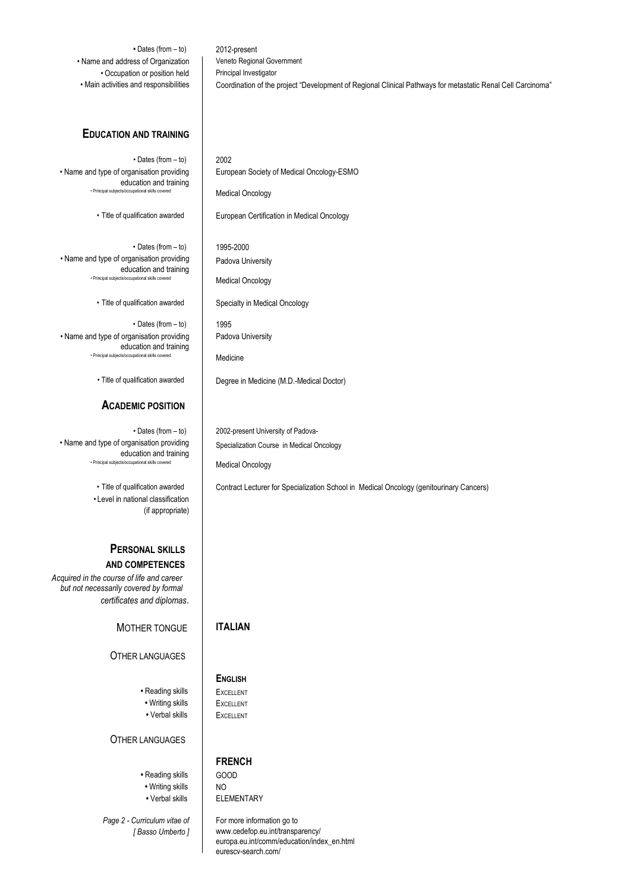**•** Dates (from – to) • Name and address of Organization • Occupation or position held • Main activities and responsibilities

### **EDUCATION AND TRAINING**

• Dates (from – to) • Name and type of organisation providing education and training • Principal subjects/oc

• Title of qualification awarded

• Dates (from – to) • Name and type of organisation providing education and training • Principal subjects/occupational skills

• Title of qualification awarded

• Dates (from – to) • Name and type of organisation providing education and training<br>cts/occurational skills covered • Principal subject

• Title of qualification awarded

# **ACADEMIC POSITION**

• Dates (from – to) • Name and type of organisation providing education and training • Principal subjects/occupational skills covered

> • Title of qualification awarded • Level in national classification (if appropriate)

#### **PERSONAL SKILLS AND COMPETENCES**

*Acquired in the course of life and career but not necessarily covered by formal certificates and diplomas*.

# MOTHER TONGUE

#### OTHER LANGUAGES

- Reading skills
- Writing skills
- Verbal skills

OTHER LANGUAGES

# **•** Reading skills **•** Writing skills

**•** Verbal skills

*Page 2 - Curriculum vitae of [ Basso Umberto ]* 2002 European Society of Medical Oncology-ESMO Medical Oncology

European Certification in Medical Oncology

1995-2000 Padova University

2012-present

Veneto Regional Government Principal Investigator

Medical Oncology

Specialty in Medical Oncology

1995 Padova University

Medicine

Degree in Medicine (M.D.-Medical Doctor)

2002-present University of Padova-Specialization Course in Medical Oncology

Medical Oncology

Contract Lecturer for Specialization School in Medical Oncology (genitourinary Cancers)

Coordination of the project "Development of Regional Clinical Pathways for metastatic Renal Cell Carcinoma"

### **ITALIAN**

#### **ENGLISH**

**EXCELLENT** EXCELLENT **EXCELLENT** 

## **FRENCH**

GOOD NO ELEMENTARY

For more information go to www.cedefop.eu.int/transparency/ europa.eu.int/comm/education/index\_en.html eurescv-search.com/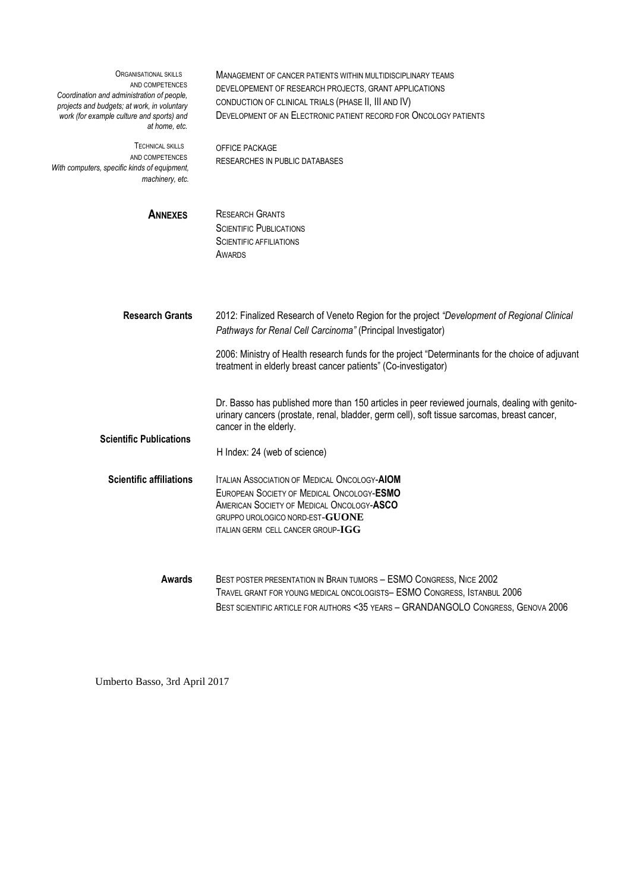| ORGANISATIONAL SKILLS<br>AND COMPETENCES<br>Coordination and administration of people,<br>projects and budgets; at work, in voluntary<br>work (for example culture and sports) and<br>at home, etc. | MANAGEMENT OF CANCER PATIENTS WITHIN MULTIDISCIPLINARY TEAMS<br>DEVELOPEMENT OF RESEARCH PROJECTS, GRANT APPLICATIONS<br>CONDUCTION OF CLINICAL TRIALS (PHASE II, III AND IV)<br>DEVELOPMENT OF AN ELECTRONIC PATIENT RECORD FOR ONCOLOGY PATIENTS                                                                               |
|-----------------------------------------------------------------------------------------------------------------------------------------------------------------------------------------------------|----------------------------------------------------------------------------------------------------------------------------------------------------------------------------------------------------------------------------------------------------------------------------------------------------------------------------------|
| <b>TECHNICAL SKILLS</b><br>AND COMPETENCES<br>With computers, specific kinds of equipment,<br>machinery, etc.                                                                                       | OFFICE PACKAGE<br><b>RESEARCHES IN PUBLIC DATABASES</b>                                                                                                                                                                                                                                                                          |
| <b>ANNEXES</b>                                                                                                                                                                                      | <b>RESEARCH GRANTS</b><br><b>SCIENTIFIC PUBLICATIONS</b><br><b>SCIENTIFIC AFFILIATIONS</b><br>AWARDS                                                                                                                                                                                                                             |
| <b>Research Grants</b>                                                                                                                                                                              | 2012: Finalized Research of Veneto Region for the project "Development of Regional Clinical<br>Pathways for Renal Cell Carcinoma" (Principal Investigator)<br>2006: Ministry of Health research funds for the project "Determinants for the choice of adjuvant<br>treatment in elderly breast cancer patients" (Co-investigator) |
| <b>Scientific Publications</b>                                                                                                                                                                      | Dr. Basso has published more than 150 articles in peer reviewed journals, dealing with genito-<br>urinary cancers (prostate, renal, bladder, germ cell), soft tissue sarcomas, breast cancer,<br>cancer in the elderly.<br>H Index: 24 (web of science)                                                                          |
| <b>Scientific affiliations</b>                                                                                                                                                                      | <b>ITALIAN ASSOCIATION OF MEDICAL ONCOLOGY-AIOM</b><br>EUROPEAN SOCIETY OF MEDICAL ONCOLOGY-ESMO<br>AMERICAN SOCIETY OF MEDICAL ONCOLOGY-ASCO<br>GRUPPO UROLOGICO NORD-EST-GUONE<br>ITALIAN GERM CELL CANCER GROUP- $\mathbf{IGG}$                                                                                               |
| <b>Awards</b>                                                                                                                                                                                       | BEST POSTER PRESENTATION IN BRAIN TUMORS - ESMO CONGRESS, NICE 2002<br>TRAVEL GRANT FOR YOUNG MEDICAL ONCOLOGISTS- ESMO CONGRESS, ISTANBUL 2006<br>BEST SCIENTIFIC ARTICLE FOR AUTHORS <35 YEARS - GRANDANGOLO CONGRESS, GENOVA 2006                                                                                             |

Umberto Basso, 3rd April 2017